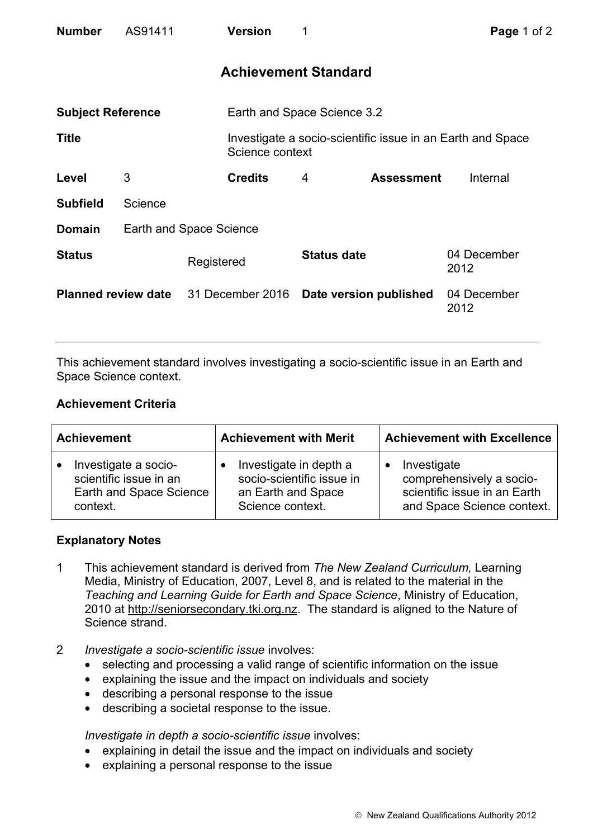| <b>Number</b>              | AS91411                 | <b>Version</b>                          | 1                           |                   | Page 1 of 2                                                |  |
|----------------------------|-------------------------|-----------------------------------------|-----------------------------|-------------------|------------------------------------------------------------|--|
|                            |                         |                                         | <b>Achievement Standard</b> |                   |                                                            |  |
| <b>Subject Reference</b>   |                         |                                         | Earth and Space Science 3.2 |                   |                                                            |  |
| <b>Title</b>               |                         | Science context                         |                             |                   | Investigate a socio-scientific issue in an Earth and Space |  |
| Level                      | 3                       | <b>Credits</b>                          | 4                           | <b>Assessment</b> | Internal                                                   |  |
| <b>Subfield</b>            | Science                 |                                         |                             |                   |                                                            |  |
| <b>Domain</b>              | Earth and Space Science |                                         |                             |                   |                                                            |  |
| <b>Status</b>              |                         | Registered                              | <b>Status date</b>          |                   | 04 December<br>2012                                        |  |
| <b>Planned review date</b> |                         | 31 December 2016 Date version published |                             |                   | 04 December<br>2012                                        |  |

This achievement standard involves investigating a socio-scientific issue in an Earth and Space Science context.

## **Achievement Criteria**

| <b>Achievement</b>      | <b>Achievement with Merit</b> | <b>Achievement with Excellence</b> |  |
|-------------------------|-------------------------------|------------------------------------|--|
| Investigate a socio-    | Investigate in depth a        | Investigate                        |  |
| scientific issue in an  | socio-scientific issue in     | comprehensively a socio-           |  |
| Earth and Space Science | an Earth and Space            | scientific issue in an Earth       |  |
| context.                | Science context.              | and Space Science context.         |  |

## **Explanatory Notes**

- 1 This achievement standard is derived from *The New Zealand Curriculum,* Learning Media, Ministry of Education, 2007, Level 8, and is related to the material in the *Teaching and Learning Guide for Earth and Space Science*, Ministry of Education, 2010 at http://seniorsecondary.tki.org.nz. The standard is aligned to the Nature of Science strand.
- 2 *Investigate a socio-scientific issue* involves:
	- selecting and processing a valid range of scientific information on the issue
	- explaining the issue and the impact on individuals and society
	- describing a personal response to the issue
	- describing a societal response to the issue.

*Investigate in depth a socio-scientific issue involves:* 

- explaining in detail the issue and the impact on individuals and society
- explaining a personal response to the issue